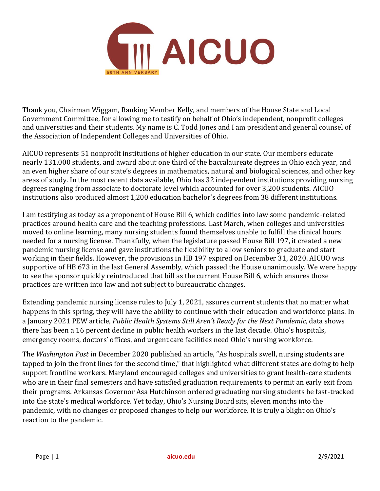

Thank you, Chairman Wiggam, Ranking Member Kelly, and members of the House State and Local Government Committee, for allowing me to testify on behalf of Ohio's independent, nonprofit colleges and universities and their students. My name is C. Todd Jones and I am president and general counsel of the Association of Independent Colleges and Universities of Ohio.

AICUO represents 51 nonprofit institutions of higher education in our state. Our members educate nearly 131,000 students, and award about one third of the baccalaureate degrees in Ohio each year, and an even higher share of our state's degrees in mathematics, natural and biological sciences, and other key areas of study. In the most recent data available, Ohio has 32 independent institutions providing nursing degrees ranging from associate to doctorate level which accounted for over 3,200 students. AICUO institutions also produced almost 1,200 education bachelor's degrees from 38 different institutions.

I am testifying as today as a proponent of House Bill 6, which codifies into law some pandemic-related practices around health care and the teaching professions. Last March, when colleges and universities moved to online learning, many nursing students found themselves unable to fulfill the clinical hours needed for a nursing license. Thankfully, when the legislature passed House Bill 197, it created a new pandemic nursing license and gave institutions the flexibility to allow seniors to graduate and start working in their fields. However, the provisions in HB 197 expired on December 31, 2020. AICUO was supportive of HB 673 in the last General Assembly, which passed the House unanimously. We were happy to see the sponsor quickly reintroduced that bill as the current House Bill 6, which ensures those practices are written into law and not subject to bureaucratic changes.

Extending pandemic nursing license rules to July 1, 2021, assures current students that no matter what happens in this spring, they will have the ability to continue with their education and workforce plans. In a January 2021 PEW article, *Public Health Systems Still Aren't Ready for the Next Pandemic*, data shows there has been a 16 percent decline in public health workers in the last decade. Ohio's hospitals, emergency rooms, doctors' offices, and urgent care facilities need Ohio's nursing workforce.

The *Washington Post* in December 2020 published an article, "As hospitals swell, nursing students are tapped to join the front lines for the second time," that highlighted what different states are doing to help support frontline workers. Maryland encouraged colleges and universities to grant health-care students who are in their final semesters and have satisfied graduation requirements to permit an early exit from their programs. Arkansas Governor Asa Hutchinson ordered graduating nursing students be fast-tracked into the state's medical workforce. Yet today, Ohio's Nursing Board sits, eleven months into the pandemic, with no changes or proposed changes to help our workforce. It is truly a blight on Ohio's reaction to the pandemic.